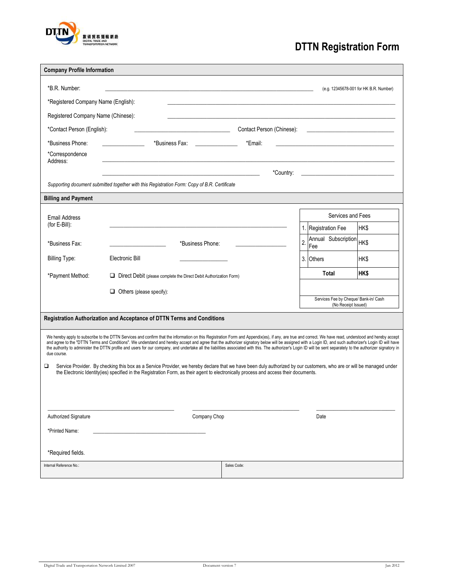

# **DTTN Registration Form**

|                                     | <b>Company Profile Information</b>                                                                                                                                                                                                                                                                                                                                                                                                                                                                                                                                                                                                    |                                                              |  |  |  |
|-------------------------------------|---------------------------------------------------------------------------------------------------------------------------------------------------------------------------------------------------------------------------------------------------------------------------------------------------------------------------------------------------------------------------------------------------------------------------------------------------------------------------------------------------------------------------------------------------------------------------------------------------------------------------------------|--------------------------------------------------------------|--|--|--|
| *B.R. Number:                       |                                                                                                                                                                                                                                                                                                                                                                                                                                                                                                                                                                                                                                       | (e.g. 12345678-001 for HK B.R. Number)                       |  |  |  |
| *Registered Company Name (English): |                                                                                                                                                                                                                                                                                                                                                                                                                                                                                                                                                                                                                                       |                                                              |  |  |  |
| Registered Company Name (Chinese):  |                                                                                                                                                                                                                                                                                                                                                                                                                                                                                                                                                                                                                                       |                                                              |  |  |  |
| *Contact Person (English):          | Contact Person (Chinese):                                                                                                                                                                                                                                                                                                                                                                                                                                                                                                                                                                                                             |                                                              |  |  |  |
| *Business Phone:                    | *Business Fax: New York 1997<br>*Email:                                                                                                                                                                                                                                                                                                                                                                                                                                                                                                                                                                                               |                                                              |  |  |  |
| *Correspondence<br>Address:         |                                                                                                                                                                                                                                                                                                                                                                                                                                                                                                                                                                                                                                       |                                                              |  |  |  |
|                                     | *Country:                                                                                                                                                                                                                                                                                                                                                                                                                                                                                                                                                                                                                             |                                                              |  |  |  |
|                                     | Supporting document submitted together with this Registration Form: Copy of B.R. Certificate                                                                                                                                                                                                                                                                                                                                                                                                                                                                                                                                          |                                                              |  |  |  |
| <b>Billing and Payment</b>          |                                                                                                                                                                                                                                                                                                                                                                                                                                                                                                                                                                                                                                       |                                                              |  |  |  |
| Email Address                       |                                                                                                                                                                                                                                                                                                                                                                                                                                                                                                                                                                                                                                       | Services and Fees                                            |  |  |  |
| (for E-Bill):                       |                                                                                                                                                                                                                                                                                                                                                                                                                                                                                                                                                                                                                                       | 1. Registration Fee<br>HK\$                                  |  |  |  |
| *Business Fax:                      | *Business Phone:                                                                                                                                                                                                                                                                                                                                                                                                                                                                                                                                                                                                                      | Annual Subscription HK\$<br>2<br>Fee                         |  |  |  |
| <b>Billing Type:</b>                | Electronic Bill                                                                                                                                                                                                                                                                                                                                                                                                                                                                                                                                                                                                                       | 3. Others<br>HK\$                                            |  |  |  |
| *Payment Method:                    | Direct Debit (please complete the Direct Debit Authorization Form)                                                                                                                                                                                                                                                                                                                                                                                                                                                                                                                                                                    | <b>HK\$</b><br>Total                                         |  |  |  |
|                                     |                                                                                                                                                                                                                                                                                                                                                                                                                                                                                                                                                                                                                                       |                                                              |  |  |  |
|                                     |                                                                                                                                                                                                                                                                                                                                                                                                                                                                                                                                                                                                                                       |                                                              |  |  |  |
|                                     | $\Box$ Others (please specify):                                                                                                                                                                                                                                                                                                                                                                                                                                                                                                                                                                                                       | Services Fee by Cheque/ Bank-in/ Cash<br>(No Receipt Issued) |  |  |  |
|                                     | Registration Authorization and Acceptance of DTTN Terms and Conditions                                                                                                                                                                                                                                                                                                                                                                                                                                                                                                                                                                |                                                              |  |  |  |
| due course.                         | We hereby apply to subscribe to the DTTN Services and confirm that the information on this Registration Form and Appendix(es), if any, are true and correct. We have read, understood and hereby accept<br>and agree to the "DTTN Terms and Conditions". We understand and hereby accept and agree that the authorizer signatory below will be assigned with a Login ID, and such authorizer's Login ID will have<br>the authority to administer the DTTN profile and users for our company, and undertake all the liabilities associated with this. The authorizer's Login ID will be sent separately to the authorizer signatory in |                                                              |  |  |  |
| □                                   | Service Provider. By checking this box as a Service Provider, we hereby declare that we have been duly authorized by our customers, who are or will be managed under<br>the Electronic Identity(ies) specified in the Registration Form, as their agent to electronically process and access their documents.                                                                                                                                                                                                                                                                                                                         |                                                              |  |  |  |
|                                     |                                                                                                                                                                                                                                                                                                                                                                                                                                                                                                                                                                                                                                       |                                                              |  |  |  |
|                                     |                                                                                                                                                                                                                                                                                                                                                                                                                                                                                                                                                                                                                                       |                                                              |  |  |  |
| Authorized Signature                | Company Chop                                                                                                                                                                                                                                                                                                                                                                                                                                                                                                                                                                                                                          | Date                                                         |  |  |  |
| *Printed Name:                      |                                                                                                                                                                                                                                                                                                                                                                                                                                                                                                                                                                                                                                       |                                                              |  |  |  |
|                                     |                                                                                                                                                                                                                                                                                                                                                                                                                                                                                                                                                                                                                                       |                                                              |  |  |  |
| *Required fields.                   |                                                                                                                                                                                                                                                                                                                                                                                                                                                                                                                                                                                                                                       |                                                              |  |  |  |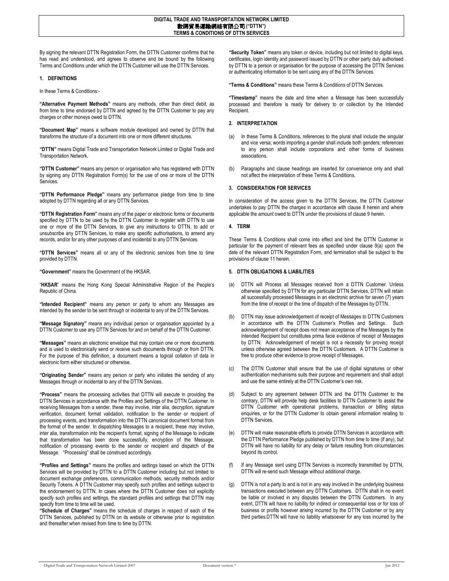By signing the relevant DTTN Registration Form, the DTTN Customer confirms that he has read and understood, and agrees to observe and be bound by the following Terms and Conditions under which the DTTN Customer will use the DTTN Services.

#### **1. DEFINITIONS**

In these Terms & Conditions:-

**"Alternative Payment Methods"** means any methods, other than direct debit, as from time to time endorsed by DTTN and agreed by the DTTN Customer to pay any charges or other moneys owed to DTTN.

**"Document Map"** means a software module developed and owned by DTTN that transforms the structure of a document into one or more different structures.

**"DTTN"** means Digital Trade and Transportation Network Limited or Digital Trade and Transportation Network.

**"DTTN Customer"** means any person or organisation who has registered with DTTN by signing any DTTN Registration Form(s) for the use of one or more of the DTTN Services.

**"DTTN Performance Pledge"** means any performance pledge from time to time adopted by DTTN regarding all or any DTTN Services.

**"DTTN Registration Form"** means any of the paper or electronic forms or documents specified by DTTN to be used by the DTTN Customer to register with DTTN to use one or more of the DTTN Services, to give any instructions to DTTN, to add or unsubscribe any DTTN Services, to make any specific authorisations, to amend any records, and/or for any other purposes of and incidental to any DTTN Services.

**"DTTN Services"** means all or any of the electronic services from time to time provided by DTTN.

**"Government"** means the Government of the HKSAR.

"**HKSAR**" means the Hong Kong Special Administrative Region of the People's Republic of China.

**"Intended Recipient"** means any person or party to whom any Messages are intended by the sender to be sent through or incidental to any of the DTTN Services.

**"Message Signatory"** means any individual person or organisation appointed by a DTTN Customer to use any DTTN Services for and on behalf of the DTTN Customer.

**"Messages"** means an electronic envelope that may contain one or more documents and is used to electronically send or receive such documents through or from DTTN. For the purpose of this definition, a document means a logical collation of data in electronic form either structured or otherwise.

**"Originating Sender"** means any person or party who initiates the sending of any Messages through or incidental to any of the DTTN Services.

**"Process"** means the processing activities that DTTN will execute in providing the DTTN Services in accordance with the Profiles and Settings of the DTTN Customer. In receiving Messages from a sender, these may involve, inter alia, decryption, signature verification, document format validation, notification to the sender or recipient of processing events, and transformation into the DTTN canonical document format from the format of the sender. In dispatching Messages to a recipient, these may involve, inter alia, transformation into the recipient's format, signing of the Message to indicate that transformation has been done successfully, encryption of the Message, notification of processing events to the sender or recipient and dispatch of the Message. "Processing" shall be construed accordingly.

**"Profiles and Settings"** means the profiles and settings based on which the DTTN Services will be provided by DTTN to a DTTN Customer including but not limited to document exchange preferences, communication methods, security methods and/or Security Tokens. A DTTN Customer may specify such profiles and settings subject to the endorsement by DTTN. In cases where the DTTN Customer does not explicitly specify such profiles and settings, the standard profiles and settings that DTTN may specify from time to time will be used.

**"Schedule of Charges"** means the schedule of charges in respect of each of the DTTN Services, published by DTTN on its website or otherwise prior to registration and thereafter when revised from time to time by DTTN.

**"Security Token"** means any token or device, including but not limited to digital keys, certificates, login identity and password issued by DTTN or other party duly authorised by DTTN to a person or organisation for the purpose of accessing the DTTN Services or authenticating information to be sent using any of the DTTN Services.

**"Terms & Conditions"** means these Terms & Conditions of DTTN Services.

**"Timestamp"** means the date and time when a Message has been successfully processed and therefore is ready for delivery to or collection by the Intended Recipient.

## **2. INTERPRETATION**

- (a) In these Terms & Conditions, references to the plural shall include the singular and vice versa; words importing a gender shall include both genders; references to any person shall include corporations and other forms of business associations.
- (b) Paragraphs and clause headings are inserted for convenience only and shall not affect the interpretation of these Terms & Conditions.

# **3. CONSIDERATION FOR SERVICES**

In consideration of the access given to the DTTN Services, the DTTN Customer undertakes to pay DTTN the charges in accordance with clause 8 herein and where applicable the amount owed to DTTN under the provisions of clause 9 herein.

# **4. TERM**

These Terms & Conditions shall come into effect and bind the DTTN Customer in particular for the payment of relevant fees as specified under clause 9(a) upon the date of the relevant DTTN Registration Form, and termination shall be subject to the provisions of clause 11 herein.

# **5. DTTN OBLIGATIONS & LIABILITIES**

- DTTN will Process all Messages received from a DTTN Customer. Unless otherwise specified by DTTN for any particular DTTN Services, DTTN will retain all successfully processed Messages in an electronic archive for seven (7) years from the time of receipt or the time of dispatch of the Messages by DTTN.
- (b) DTTN may issue acknowledgement of receipt of Messages to DTTN Customers in accordance with the DTTN Customer's Profiles and Settings. Such acknowledgement of receipt does not mean acceptance of the Messages by the Intended Recipient but constitutes prima facie evidence of receipt of Messages by DTTN. Acknowledgement of receipt is not a necessity for proving receipt unless otherwise agreed between the DTTN Customers. A DTTN Customer is free to produce other evidence to prove receipt of Messages.
- (c) The DTTN Customer shall ensure that the use of digital signatures or other authentication mechanisms suits their purpose and requirement and shall adopt and use the same entirely at the DTTN Customer's own risk.
- (d) Subject to any agreement between DTTN and the DTTN Customer to the contrary, DTTN will provide help desk facilities to DTTN Customer to assist the DTTN Customer with operational problems, transaction or billing status enquiries, or for the DTTN Customer to obtain general information relating to DTTN Services.
- (e) DTTN will make reasonable efforts to provide DTTN Services in accordance with the DTTN Performance Pledge published by DTTN from time to time (if any), but DTTN will have no liability for any delay or failure resulting from circumstances beyond its control.
- (f) If any Message sent using DTTN Services is incorrectly transmitted by DTTN, DTTN will re-send such Message without additional charge.
- (g) DTTN is not a party to and is not in any way involved in the underlying business transactions executed between any DTTN Customers. DTTN shall in no event be liable or involved in any disputes between the DTTN Customers. In any event, DTTN will have no liability for indirect or consequential loss or for loss of business or profits however arising incurred by the DTTN Customer or by any third parties.DTTN will have no liability whatsoever for any loss incurred by the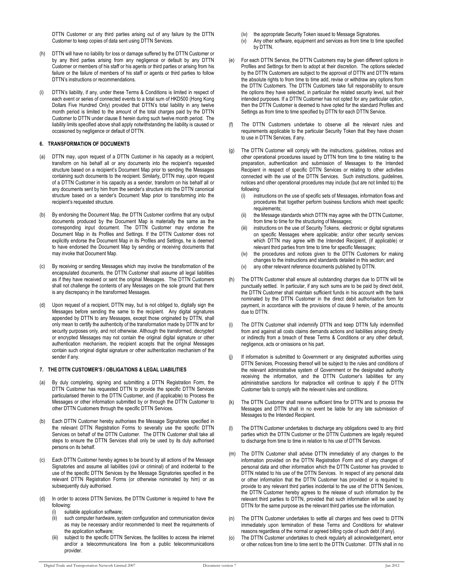DTTN Customer or any third parties arising out of any failure by the DTTN Customer to keep copies of data sent using DTTN Services.

- (h) DTTN will have no liability for loss or damage suffered by the DTTN Customer or by any third parties arising from any negligence or default by any DTTN Customer or members of his staff or his agents or third parties or arising from his failure or the failure of members of his staff or agents or third parties to follow DTTN's instructions or recommendations.
- DTTN's liability, if any, under these Terms & Conditions is limited in respect of each event or series of connected events to a total sum of HKD500 (Hong Kong Dollars Five Hundred Only) provided that DTTN's total liability in any twelve month period is limited to the amount of the total charges paid by the DTTN Customer to DTTN under clause 8 herein during such twelve month period. The liability limits specified above shall apply notwithstanding the liability is caused or occasioned by negligence or default of DTTN.

# **6. TRANSFORMATION OF DOCUMENTS**

- (a) DTTN may, upon request of a DTTN Customer in his capacity as a recipient, transform on his behalf all or any documents into the recipient's requested structure based on a recipient's Document Map prior to sending the Messages containing such documents to the recipient. Similarly, DTTN may, upon request of a DTTN Customer in his capacity as a sender, transform on his behalf all or any documents sent by him from the sender's structure into the DTTN canonical structure based on a sender's Document Map prior to transforming into the recipient's requested structure.
- By endorsing the Document Map, the DTTN Customer confirms that any output documents produced by the Document Map is materially the same as the corresponding input document. The DTTN Customer may endorse the Document Map in its Profiles and Settings. If the DTTN Customer does not explicitly endorse the Document Map in its Profiles and Settings, he is deemed to have endorsed the Document Map by sending or receiving documents that may invoke that Document Map.
- (c) By receiving or sending Messages which may involve the transformation of the encapsulated documents, the DTTN Customer shall assume all legal liabilities as if they have received or sent the original Messages. The DTTN Customers shall not challenge the contents of any Messages on the sole ground that there is any discrepancy in the transformed Messages.
- (d) Upon request of a recipient, DTTN may, but is not obliged to, digitally sign the Messages before sending the same to the recipient. Any digital signatures appended by DTTN to any Messages, except those originated by DTTN, shall only mean to certify the authenticity of the transformation made by DTTN and for security purposes only, and not otherwise. Although the transformed, decrypted or encrypted Messages may not contain the original digital signature or other authentication mechanism, the recipient accepts that the original Messages contain such original digital signature or other authentication mechanism of the sender if any.

#### **7. THE DTTN CUSTOMER'S / OBLIGATIONS & LEGAL LIABILITIES**

- (a) By duly completing, signing and submitting a DTTN Registration Form, the DTTN Customer has requested DTTN to provide the specific DTTN Services particularised therein to the DTTN Customer, and (if applicable) to Process the Messages or other information submitted by or through the DTTN Customer to other DTTN Customers through the specific DTTN Services.
- (b) Each DTTN Customer hereby authorises the Message Signatories specified in the relevant DTTN Registration Forms to severally use the specific DTTN Services on behalf of the DTTN Customer. The DTTN Customer shall take all steps to ensure the DTTN Services shall only be used by its duly authorised persons on its behalf.
- (c) Each DTTN Customer hereby agrees to be bound by all actions of the Message Signatories and assume all liabilities (civil or criminal) of and incidental to the use of the specific DTTN Services by the Message Signatories specified in the relevant DTTN Registration Forms (or otherwise nominated by him) or as subsequently duly authorised.
- (d) In order to access DTTN Services, the DTTN Customer is required to have the following:
	- suitable application software;
	- (ii) such computer hardware, system configuration and communication device as may be necessary and/or recommended to meet the requirements of the application software;
	- (iii) subject to the specific DTTN Services, the facilities to access the internet and/or a telecommunications line from a public telecommunications provider.
- (iv) the appropriate Security Token issued to Message Signatories.
- (v) Any other software, equipment and services as from time to time specified by DTTN.
- (e) For each DTTN Service, the DTTN Customers may be given different options in Profiles and Settings for them to adopt at their discretion. The options selected by the DTTN Customers are subject to the approval of DTTN and DTTN retains the absolute rights to from time to time add, revise or withdraw any options from the DTTN Customers. The DTTN Customers take full responsibility to ensure the options they have selected, in particular the related security level, suit their intended purposes. If a DTTN Customer has not opted for any particular option, then the DTTN Customer is deemed to have opted for the standard Profiles and Settings as from time to time specified by DTTN for each DTTN Service.
- (f) The DTTN Customers undertake to observe all the relevant rules and requirements applicable to the particular Security Token that they have chosen to use in DTTN Services, if any.
- The DTTN Customer will comply with the instructions, guidelines, notices and other operational procedures issued by DTTN from time to time relating to the preparation, authentication and submission of Messages to the Intended Recipient in respect of specific DTTN Services or relating to other activities connected with the use of the DTTN Services. Such instructions, guidelines, notices and other operational procedures may include (but are not limited to) the following:
	- (i) instructions on the use of specific sets of Messages, information flows and procedures that together perform business functions which meet specific requirements;
	- the Message standards which DTTN may agree with the DTTN Customer, from time to time for the structuring of Messages;
	- (iii) instructions on the use of Security Tokens, electronic or digital signatures on specific Messages where applicable; and/or other security services which DTTN may agree with the Intended Recipient, (if applicable) or relevant third parties from time to time for specific Messages;
	- (iv) the procedures and notices given to the DTTN Customers for making changes to the instructions and standards detailed in this section; and
	- (v) any other relevant reference documents published by DTTN.
- (h) The DTTN Customer shall ensure all outstanding charges due to DTTN will be punctually settled. In particular, if any such sums are to be paid by direct debit, the DTTN Customer shall maintain sufficient funds in his account with the bank nominated by the DTTN Customer in the direct debit authorisation form for payment, in accordance with the provisions of clause 9 herein, of the amounts due to DTTN.
- The DTTN Customer shall indemnify DTTN and keep DTTN fully indemnified from and against all costs claims demands actions and liabilities arising directly or indirectly from a breach of these Terms & Conditions or any other default, negligence, acts or omissions on his part.
- (j) If information is submitted to Government or any designated authorities using DTTN Services, Processing thereof will be subject to the rules and conditions of the relevant administrative system of Government or the designated authority receiving the information, and the DTTN Customer's liabilities for any administrative sanctions for malpractice will continue to apply if the DTTN Customer fails to comply with the relevant rules and conditions.
- The DTTN Customer shall reserve sufficient time for DTTN and to process the Messages and DTTN shall in no event be liable for any late submission of Messages to the Intended Recipient.
- The DTTN Customer undertakes to discharge any obligations owed to any third parties which the DTTN Customer or the DTTN Customers are legally required to discharge from time to time in relation to his use of DTTN Services.
- (m) The DTTN Customer shall advise DTTN immediately of any changes to the information provided on the DTTN Registration Form and of any changes of personal data and other information which the DTTN Customer has provided to DTTN related to his use of the DTTN Services. In respect of any personal data or other information that the DTTN Customer has provided or is required to provide to any relevant third parties incidental to the use of the DTTN Services, the DTTN Customer hereby agrees to the release of such information by the relevant third parties to DTTN, provided that such information will be used by DTTN for the same purpose as the relevant third parties use the information.
- (n) The DTTN Customer undertakes to settle all charges and fees owed to DTTN immediately upon termination of these Terms and Conditions for whatever reasons regardless of the normal or agreed billing cycle of such debt (if any).
- (o) The DTTN Customer undertakes to check regularly all acknowledgement, error or other notices from time to time sent to the DTTN Customer. DTTN shall in no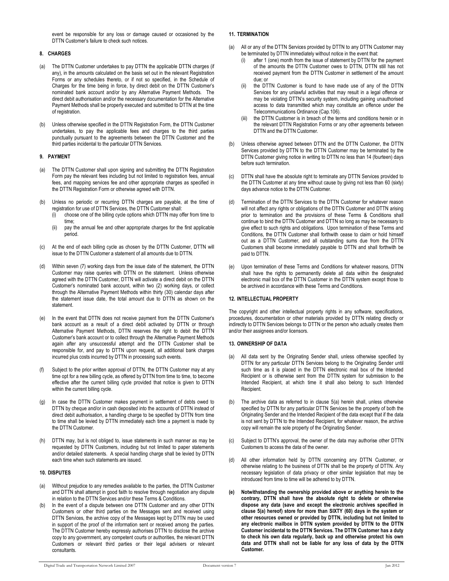event be responsible for any loss or damage caused or occasioned by the DTTN Customer's failure to check such notices.

# **8. CHARGES**

- (a) The DTTN Customer undertakes to pay DTTN the applicable DTTN charges (if any), in the amounts calculated on the basis set out in the relevant Registration Forms or any schedules thereto, or if not so specified, in the Schedule of Charges for the time being in force, by direct debit on the DTTN Customer's nominated bank account and/or by any Alternative Payment Methods. The direct debit authorisation and/or the necessary documentation for the Alternative Payment Methods shall be properly executed and submitted to DTTN at the time of registration.
- (b) Unless otherwise specified in the DTTN Registration Form, the DTTN Customer undertakes, to pay the applicable fees and charges to the third parties punctually pursuant to the agreements between the DTTN Customer and the third parties incidental to the particular DTTN Services.

#### **9. PAYMENT**

- (a) The DTTN Customer shall upon signing and submitting the DTTN Registration Form pay the relevant fees including but not limited to registration fees, annual fees, and mapping services fee and other appropriate charges as specified in the DTTN Registration Form or otherwise agreed with DTTN.
- (b) Unless no periodic or recurring DTTN charges are payable, at the time of registration for use of DTTN Services, the DTTN Customer shall:
	- (i) choose one of the billing cycle options which DTTN may offer from time to time;
	- (ii) pay the annual fee and other appropriate charges for the first applicable period.
- (c) At the end of each billing cycle as chosen by the DTTN Customer, DTTN will issue to the DTTN Customer a statement of all amounts due to DTTN.
- (d) Within seven (7) working days from the issue date of the statement, the DTTN Customer may raise queries with DTTN on the statement. Unless otherwise agreed with the DTTN Customer, DTTN will activate a direct debit on the DTTN Customer's nominated bank account, within two (2) working days, or collect through the Alternative Payment Methods within thirty (30) calendar days after the statement issue date, the total amount due to DTTN as shown on the statement.
- (e) In the event that DTTN does not receive payment from the DTTN Customer's bank account as a result of a direct debit activated by DTTN or through Alternative Payment Methods, DTTN reserves the right to debit the DTTN Customer's bank account or to collect through the Alternative Payment Methods again after any unsuccessful attempt and the DTTN Customer shall be responsible for, and pay to DTTN upon request, all additional bank charges incurred plus costs incurred by DTTN in processing such events.
- (f) Subject to the prior written approval of DTTN, the DTTN Customer may at any time opt for a new billing cycle, as offered by DTTN from time to time, to become effective after the current billing cycle provided that notice is given to DTTN within the current billing cycle.
- (g) In case the DTTN Customer makes payment in settlement of debts owed to DTTN by cheque and/or in cash deposited into the accounts of DTTN instead of direct debit authorisation, a handling charge to be specified by DTTN from time to time shall be levied by DTTN immediately each time a payment is made by the DTTN Customer.
- (h) DTTN may, but is not obliged to, issue statements in such manner as may be requested by DTTN Customers, including but not limited to paper statements and/or detailed statements. A special handling charge shall be levied by DTTN each time when such statements are issued.

#### **10. DISPUTES**

- Without prejudice to any remedies available to the parties, the DTTN Customer and DTTN shall attempt in good faith to resolve through negotiation any dispute in relation to the DTTN Services and/or these Terms & Conditions.
- In the event of a dispute between one DTTN Customer and any other DTTN Customers or other third parties on the Messages sent and received using DTTN Services, the archive copy of the Messages kept by DTTN may be used in support of the proof of the information sent or received among the parties. The DTTN Customer hereby expressly authorises DTTN to disclose the archive copy to any government, any competent courts or authorities, the relevant DTTN Customers or relevant third parties or their legal advisers or relevant consultants.

# **11. TERMINATION**

- (a) All or any of the DTTN Services provided by DTTN to any DTTN Customer may be terminated by DTTN immediately without notice in the event that:
	- after 1 (one) month from the issue of statement by DTTN for the payment of the amounts the DTTN Customer owes to DTTN, DTTN still has not received payment from the DTTN Customer in settlement of the amount due; or
	- (ii) the DTTN Customer is found to have made use of any of the DTTN Services for any unlawful activities that may result in a legal offence or may be violating DTTN's security system, including gaining unauthorised access to data transmitted which may constitute an offence under the Telecommunications Ordinance (Cap.106).
	- the DTTN Customer is in breach of the terms and conditions herein or in the relevant DTTN Registration Forms or any other agreements between DTTN and the DTTN Customer.
- (b) Unless otherwise agreed between DTTN and the DTTN Customer, the DTTN Services provided by DTTN to the DTTN Customer may be terminated by the DTTN Customer giving notice in writing to DTTN no less than 14 (fourteen) days before such termination.
- (c) DTTN shall have the absolute right to terminate any DTTN Services provided to the DTTN Customer at any time without cause by giving not less than 60 (sixty) days advance notice to the DTTN Customer.
- (d) Termination of the DTTN Services to the DTTN Customer for whatever reason will not affect any rights or obligations of the DTTN Customer and DTTN arising prior to termination and the provisions of these Terms & Conditions shall continue to bind the DTTN Customer and DTTN so long as may be necessary to give effect to such rights and obligations. Upon termination of these Terms and Conditions, the DTTN Customer shall forthwith cease to claim or hold himself out as a DTTN Customer, and all outstanding sums due from the DTTN Customers shall become immediately payable to DTTN and shall forthwith be paid to DTTN.
- Upon termination of these Terms and Conditions for whatever reasons, DTTN shall have the rights to permanently delete all data within the designated electronic mail box of the DTTN Customer in the DTTN system except those to be archived in accordance with these Terms and Conditions.

# **12. INTELLECTUAL PROPERTY**

The copyright and other intellectual property rights in any software, specifications, procedures, documentation or other materials provided by DTTN relating directly or indirectly to DTTN Services belongs to DTTN or the person who actually creates them and/or their assignees and/or licensors.

## **13. OWNERSHIP OF DATA**

- (a) All data sent by the Originating Sender shall, unless otherwise specified by DTTN for any particular DTTN Services belong to the Originating Sender until such time as it is placed in the DTTN electronic mail box of the Intended Recipient or is otherwise sent from the DTTN system for submission to the Intended Recipient, at which time it shall also belong to such Intended Recipient.
- The archive data as referred to in clause  $5(a)$  herein shall, unless otherwise specified by DTTN for any particular DTTN Services be the property of both the Originating Sender and the Intended Recipient of the data except that if the data is not sent by DTTN to the Intended Recipient, for whatever reason, the archive copy will remain the sole property of the Originating Sender.
- (c) Subject to DTTN's approval, the owner of the data may authorise other DTTN Customers to access the data of the owner.
- (d) All other information held by DTTN concerning any DTTN Customer, or otherwise relating to the business of DTTN shall be the property of DTTN. Any necessary legislation of data privacy or other similar legislation that may be introduced from time to time will be adhered to by DTTN.
- **(e) Notwithstanding the ownership provided above or anything herein to the contrary, DTTN shall have the absolute right to delete or otherwise dispose any data (save and except the electronic archives specified in clause 5(a) hereof) store for more than SIXTY (60) days in the system or other resources owned or provided by DTTN, including but not limited to any electronic mailbox in DTTN system provided by DTTN to the DTTN Customer incidental to the DTTN Services. The DTTN Customer has a duty to check his own data regularly, back up and otherwise protect his own data and DTTN shall not be liable for any loss of data by the DTTN Customer.**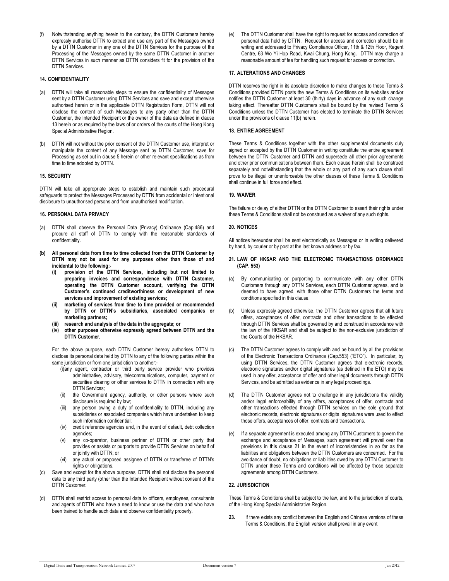(f) Notwithstanding anything herein to the contrary, the DTTN Customers hereby expressly authorise DTTN to extract and use any part of the Messages owned by a DTTN Customer in any one of the DTTN Services for the purpose of the Processing of the Messages owned by the same DTTN Customer in another DTTN Services in such manner as DTTN considers fit for the provision of the DTTN Services.

## **14. CONFIDENTIALITY**

- (a) DTTN will take all reasonable steps to ensure the confidentiality of Messages sent by a DTTN Customer using DTTN Services and save and except otherwise authorised herein or in the applicable DTTN Registration Form, DTTN will not disclose the content of such Messages to any party other than the DTTN Customer, the Intended Recipient or the owner of the data as defined in clause 13 herein or as required by the laws of or orders of the courts of the Hong Kong Special Administrative Region.
- (b) DTTN will not without the prior consent of the DTTN Customer use, interpret or manipulate the content of any Message sent by DTTN Customer, save for Processing as set out in clause 5 herein or other relevant specifications as from time to time adopted by DTTN.

#### **15. SECURITY**

DTTN will take all appropriate steps to establish and maintain such procedural safeguards to protect the Messages Processed by DTTN from accidental or intentional disclosure to unauthorised persons and from unauthorised modification.

### **16. PERSONAL DATA PRIVACY**

- (a) DTTN shall observe the Personal Data (Privacy) Ordinance (Cap.486) and procure all staff of DTTN to comply with the reasonable standards of confidentiality.
- **(b) All personal data from time to time collected from the DTTN Customer by DTTN may not be used for any purposes other than those of and incidental to the following:-** 
	- **(i) provision of the DTTN Services, including but not limited to preparing invoices and correspondence with DTTN Customer, operating the DTTN Customer account, verifying the DTTN Customer's continued creditworthiness or development of new services and improvement of existing services;**
	- **(ii) marketing of services from time to time provided or recommended by DTTN or DTTN's subsidiaries, associated companies or marketing partners;**
	- **(iii) research and analysis of the data in the aggregate; or**
	- **(iv) other purposes otherwise expressly agreed between DTTN and the DTTN Customer.**

For the above purpose, each DTTN Customer hereby authorises DTTN to disclose its personal data held by DTTN to any of the following parties within the same jurisdiction or from one jurisdiction to another:-

- (i)any agent, contractor or third party service provider who provides administrative, advisory, telecommunications, computer, payment or securities clearing or other services to DTTN in connection with any DTTN Services;
- (ii) the Government agency, authority, or other persons where such disclosure is required by law;
- any person owing a duty of confidentiality to DTTN, including any subsidiaries or associated companies which have undertaken to keep such information confidential;
- (iv) credit reference agencies and, in the event of default, debt collection agencies;
- (v) any co-operator, business partner of DTTN or other party that provides or assists or purports to provide DTTN Services on behalf of or jointly with DTTN; or
- (vi) any actual or proposed assignee of DTTN or transferee of DTTN's rights or obligations.
- (c) Save and except for the above purposes, DTTN shall not disclose the personal data to any third party (other than the Intended Recipient without consent of the DTTN Customer.
- (d) DTTN shall restrict access to personal data to officers, employees, consultants and agents of DTTN who have a need to know or use the data and who have been trained to handle such data and observe confidentiality properly.

(e) The DTTN Customer shall have the right to request for access and correction of personal data held by DTTN. Request for access and correction should be in writing and addressed to Privacy Compliance Officer, 11th & 12th Floor, Regent Centre, 63 Wo Yi Hop Road, Kwai Chung, Hong Kong. DTTN may charge a reasonable amount of fee for handling such request for access or correction.

## **17. ALTERATIONS AND CHANGES**

DTTN reserves the right in its absolute discretion to make changes to these Terms & Conditions provided DTTN posts the new Terms & Conditions on its websites and/or notifies the DTTN Customer at least 30 (thirty) days in advance of any such change taking effect. Thereafter DTTN Customers shall be bound by the revised Terms & Conditions unless the DTTN Customer has elected to terminate the DTTN Services under the provisions of clause 11(b) herein.

# **18. ENTIRE AGREEMENT**

These Terms & Conditions together with the other supplemental documents duly signed or accepted by the DTTN Customer in writing constitute the entire agreement between the DTTN Customer and DTTN and supersede all other prior agreements and other prior communications between them. Each clause herein shall be construed separately and notwithstanding that the whole or any part of any such clause shall prove to be illegal or unenforceable the other clauses of these Terms & Conditions shall continue in full force and effect.

# **19. WAIVER**

The failure or delay of either DTTN or the DTTN Customer to assert their rights under these Terms & Conditions shall not be construed as a waiver of any such rights.

# **20. NOTICES**

All notices hereunder shall be sent electronically as Messages or in writing delivered by hand, by courier or by post at the last known address or by fax.

- **21. LAW OF HKSAR AND THE ELECTRONIC TRANSACTIONS ORDINANCE (CAP. 553)**
- (a) By communicating or purporting to communicate with any other DTTN Customers through any DTTN Services, each DTTN Customer agrees, and is deemed to have agreed, with those other DTTN Customers the terms and conditions specified in this clause.
- (b) Unless expressly agreed otherwise, the DTTN Customer agrees that all future offers, acceptances of offer, contracts and other transactions to be effected through DTTN Services shall be governed by and construed in accordance with the law of the HKSAR and shall be subject to the non-exclusive jurisdiction of the Courts of the HKSAR.
- (c) The DTTN Customer agrees to comply with and be bound by all the provisions of the Electronic Transactions Ordinance (Cap.553) ("ETO"). In particular, by using DTTN Services, the DTTN Customer agrees that electronic records, electronic signatures and/or digital signatures (as defined in the ETO) may be used in any offer, acceptance of offer and other legal documents through DTTN Services, and be admitted as evidence in any legal proceedings.
- (d) The DTTN Customer agrees not to challenge in any jurisdictions the validity and/or legal enforceability of any offers, acceptances of offer, contracts and other transactions effected through DTTN services on the sole ground that electronic records, electronic signatures or digital signatures were used to effect those offers, acceptances of offer, contracts and transactions.
- (e) If a separate agreement is executed among any DTTN Customers to govern the exchange and acceptance of Messages, such agreement will prevail over the provisions in this clause 21 in the event of inconsistencies in so far as the liabilities and obligations between the DTTN Customers are concerned. For the avoidance of doubt, no obligations or liabilities owed by any DTTN Customer to DTTN under these Terms and conditions will be affected by those separate agreements among DTTN Customers.

# **22. JURISDICTION**

These Terms & Conditions shall be subject to the law, and to the jurisdiction of courts, of the Hong Kong Special Administrative Region.

**23.** If there exists any conflict between the English and Chinese versions of these Terms & Conditions, the English version shall prevail in any event.